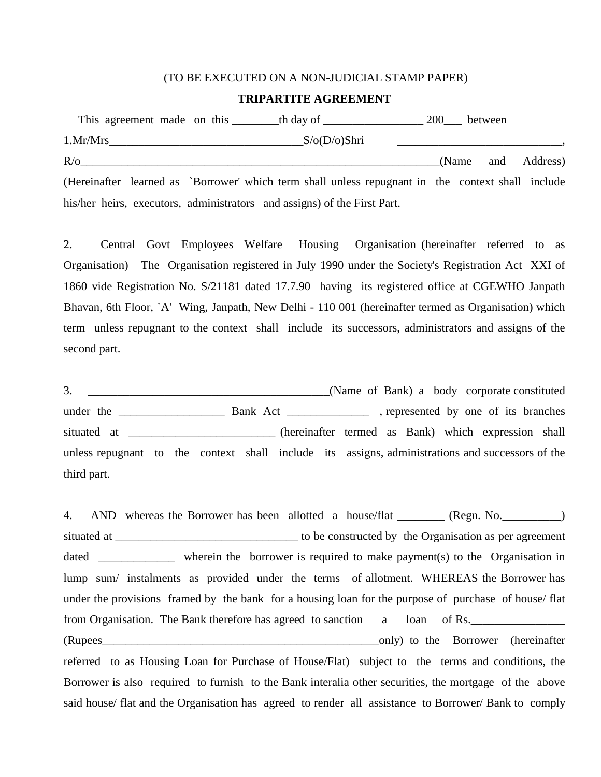## (TO BE EXECUTED ON A NON-JUDICIAL STAMP PAPER)

## **TRIPARTITE AGREEMENT**

|            |          | This agreement made on this the day of                                                            |  | 200 between |                    |
|------------|----------|---------------------------------------------------------------------------------------------------|--|-------------|--------------------|
|            | 1.Mr/Mrs | _S/o(D/o)Shri                                                                                     |  |             |                    |
| $R/\sigma$ |          |                                                                                                   |  |             | (Name and Address) |
|            |          | (Hereinafter learned as `Borrower' which term shall unless repugnant in the context shall include |  |             |                    |
|            |          | his/her heirs, executors, administrators and assigns) of the First Part.                          |  |             |                    |

2. Central Govt Employees Welfare Housing Organisation (hereinafter referred to as Organisation) The Organisation registered in July 1990 under the Society's Registration Act XXI of 1860 vide Registration No. S/21181 dated 17.7.90 having its registered office at CGEWHO Janpath Bhavan, 6th Floor, `A' Wing, Janpath, New Delhi - 110 001 (hereinafter termed as Organisation) which term unless repugnant to the context shall include its successors, administrators and assigns of the second part.

3. \_\_\_\_\_\_\_\_\_\_\_\_\_\_\_\_\_\_\_\_\_\_\_\_\_\_\_\_\_\_\_\_\_\_\_\_\_\_\_\_\_(Name of Bank) a body corporate constituted under the **Bank Act** Bank Act , represented by one of its branches situated at \_\_\_\_\_\_\_\_\_\_\_\_\_\_\_\_\_\_\_\_\_\_\_\_\_\_ (hereinafter termed as Bank) which expression shall unless repugnant to the context shall include its assigns, administrations and successors of the third part.

4. AND whereas the Borrower has been allotted a house/flat \_\_\_\_\_\_\_ (Regn. No. \_\_\_\_\_\_\_\_\_) situated at \_\_\_\_\_\_\_\_\_\_\_\_\_\_\_\_\_\_\_\_\_\_\_\_\_\_\_\_\_\_\_ to be constructed by the Organisation as per agreement dated wherein the borrower is required to make payment(s) to the Organisation in lump sum/ instalments as provided under the terms of allotment. WHEREAS the Borrower has under the provisions framed by the bank for a housing loan for the purpose of purchase of house/ flat from Organisation. The Bank therefore has agreed to sanction a loan of Rs. (Rupees\_\_\_\_\_\_\_\_\_\_\_\_\_\_\_\_\_\_\_\_\_\_\_\_\_\_\_\_\_\_\_\_\_\_\_\_\_\_\_\_\_\_\_\_\_\_\_only) to the Borrower (hereinafter referred to as Housing Loan for Purchase of House/Flat) subject to the terms and conditions, the Borrower is also required to furnish to the Bank interalia other securities, the mortgage of the above said house/ flat and the Organisation has agreed to render all assistance to Borrower/ Bank to comply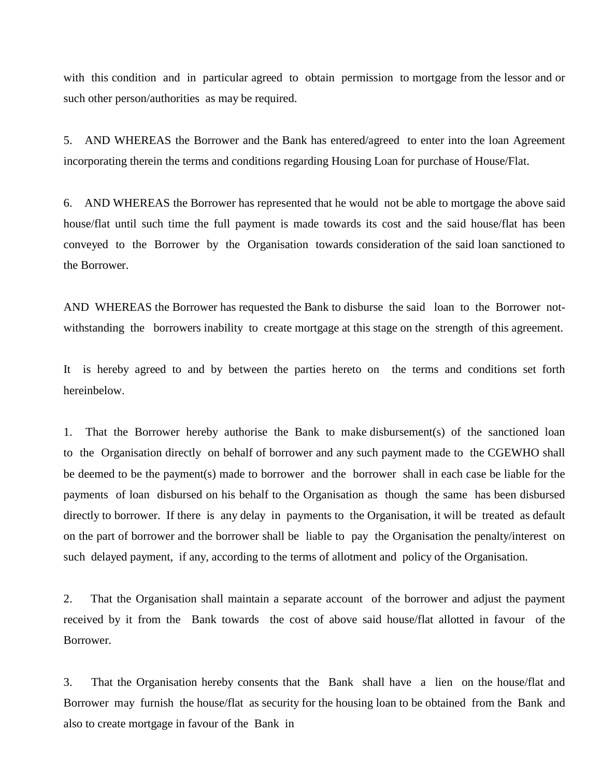with this condition and in particular agreed to obtain permission to mortgage from the lessor and or such other person/authorities as may be required.

5. AND WHEREAS the Borrower and the Bank has entered/agreed to enter into the loan Agreement incorporating therein the terms and conditions regarding Housing Loan for purchase of House/Flat.

6. AND WHEREAS the Borrower has represented that he would not be able to mortgage the above said house/flat until such time the full payment is made towards its cost and the said house/flat has been conveyed to the Borrower by the Organisation towards consideration of the said loan sanctioned to the Borrower.

AND WHEREAS the Borrower has requested the Bank to disburse the said loan to the Borrower notwithstanding the borrowers inability to create mortgage at this stage on the strength of this agreement.

It is hereby agreed to and by between the parties hereto on the terms and conditions set forth hereinbelow.

1. That the Borrower hereby authorise the Bank to make disbursement(s) of the sanctioned loan to the Organisation directly on behalf of borrower and any such payment made to the CGEWHO shall be deemed to be the payment(s) made to borrower and the borrower shall in each case be liable for the payments of loan disbursed on his behalf to the Organisation as though the same has been disbursed directly to borrower. If there is any delay in payments to the Organisation, it will be treated as default on the part of borrower and the borrower shall be liable to pay the Organisation the penalty/interest on such delayed payment, if any, according to the terms of allotment and policy of the Organisation.

2. That the Organisation shall maintain a separate account of the borrower and adjust the payment received by it from the Bank towards the cost of above said house/flat allotted in favour of the Borrower.

3. That the Organisation hereby consents that the Bank shall have a lien on the house/flat and Borrower may furnish the house/flat as security for the housing loan to be obtained from the Bank and also to create mortgage in favour of the Bank in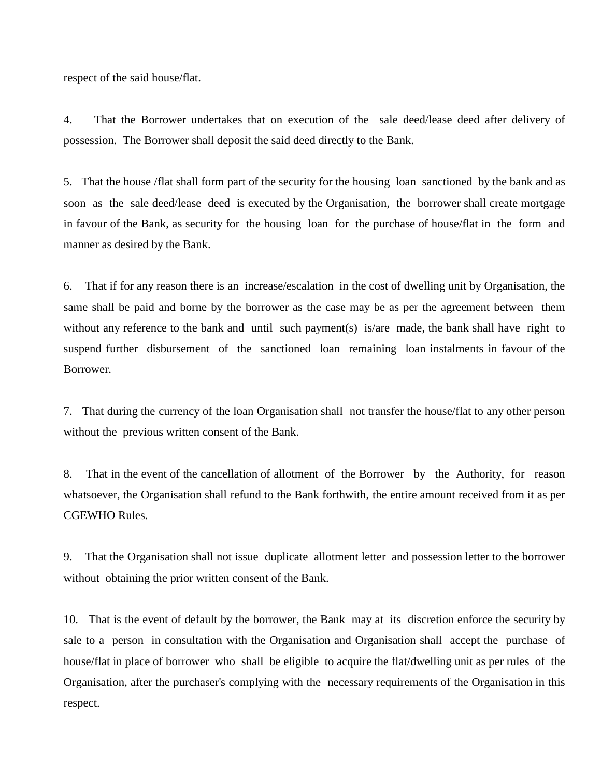respect of the said house/flat.

4. That the Borrower undertakes that on execution of the sale deed/lease deed after delivery of possession. The Borrower shall deposit the said deed directly to the Bank.

5. That the house /flat shall form part of the security for the housing loan sanctioned by the bank and as soon as the sale deed/lease deed is executed by the Organisation, the borrower shall create mortgage in favour of the Bank, as security for the housing loan for the purchase of house/flat in the form and manner as desired by the Bank.

6. That if for any reason there is an increase/escalation in the cost of dwelling unit by Organisation, the same shall be paid and borne by the borrower as the case may be as per the agreement between them without any reference to the bank and until such payment(s) is/are made, the bank shall have right to suspend further disbursement of the sanctioned loan remaining loan instalments in favour of the Borrower.

7. That during the currency of the loan Organisation shall not transfer the house/flat to any other person without the previous written consent of the Bank.

8. That in the event of the cancellation of allotment of the Borrower by the Authority, for reason whatsoever, the Organisation shall refund to the Bank forthwith, the entire amount received from it as per CGEWHO Rules.

9. That the Organisation shall not issue duplicate allotment letter and possession letter to the borrower without obtaining the prior written consent of the Bank.

10. That is the event of default by the borrower, the Bank may at its discretion enforce the security by sale to a person in consultation with the Organisation and Organisation shall accept the purchase of house/flat in place of borrower who shall be eligible to acquire the flat/dwelling unit as per rules of the Organisation, after the purchaser's complying with the necessary requirements of the Organisation in this respect.